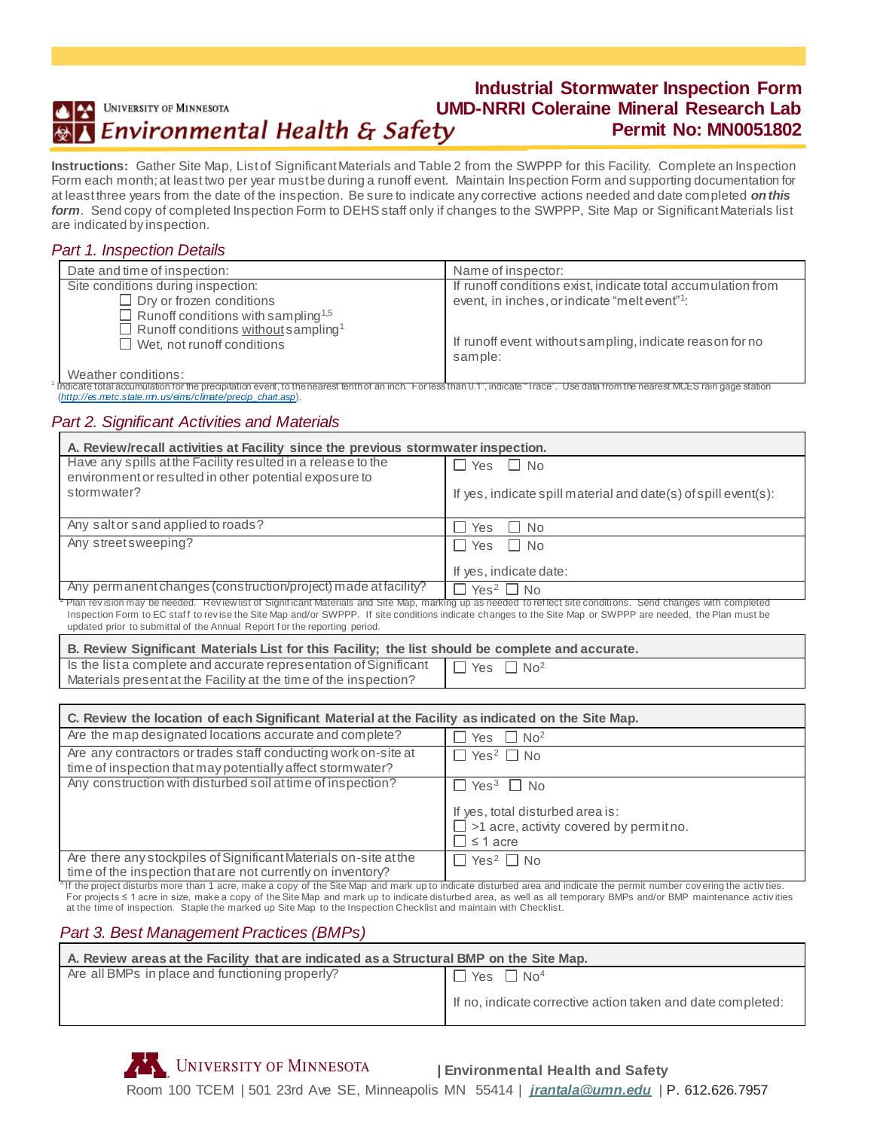#### **Industrial Stormwater Inspection Form** UMD-NRRI Coleraine Mineral Research Lab<br>*Environmental Health & Safety* Permit No: MN0051802 UNIVERSITY OF MINNESOTA **Permit No: MN0051802**

**Instructions:**Gather Site Map, List of Significant Materials and Table 2 from the SWPPP for this Facility. Complete an Inspection Form each month; at least two per year must be during a runoff event. Maintain Inspection Form and supporting documentation for at least three years from the date of the inspection. Be sure to indicate any corrective actions needed and date completed *on this form*. Send copy of completed Inspection Form to DEHS staff only if changes to the SWPPP, Site Map or Significant Materials list are indicated by inspection.

## *Part 1. Inspection Details*

| Date and time of inspection:                                                                                                                                                                                                                                                                                                                                                                                           | Name of inspector:                                                  |
|------------------------------------------------------------------------------------------------------------------------------------------------------------------------------------------------------------------------------------------------------------------------------------------------------------------------------------------------------------------------------------------------------------------------|---------------------------------------------------------------------|
| Site conditions during inspection:                                                                                                                                                                                                                                                                                                                                                                                     | If runoff conditions exist, indicate total accumulation from        |
| $\Box$ Dry or frozen conditions                                                                                                                                                                                                                                                                                                                                                                                        | event, in inches, or indicate "meltevent"?:                         |
| $\Box$ Runoff conditions with sampling <sup>1,5</sup>                                                                                                                                                                                                                                                                                                                                                                  |                                                                     |
| □ Runoff conditions without sampling <sup>1</sup><br>$\Box$ Wet, not runoff conditions                                                                                                                                                                                                                                                                                                                                 | If runoff event without sampling, indicate reason for no<br>sample: |
| $\mathbf{A} \mathbf{A} \mathbf{A} \mathbf{A} \mathbf{A} \mathbf{A} \mathbf{A} \mathbf{A} \mathbf{A} \mathbf{A} \mathbf{A} \mathbf{A} \mathbf{A} \mathbf{A} \mathbf{A} \mathbf{A} \mathbf{A} \mathbf{A} \mathbf{A} \mathbf{A} \mathbf{A} \mathbf{A} \mathbf{A} \mathbf{A} \mathbf{A} \mathbf{A} \mathbf{A} \mathbf{A} \mathbf{A} \mathbf{A} \mathbf{A} \mathbf{A} \mathbf{A} \mathbf{A} \mathbf{A} \mathbf{A} \mathbf{$ |                                                                     |

Weather conditions:

1

Indicate total accumulation for the precipitation event, to the nearest tenth of an inch. For less than 0.1", indicate "Trace". Use data from the nearest MCES rain gage station (*[http://es.metc.state.mn.us/eims/climate/precip\\_chart.asp](http://es.metc.state.mn.us/eims/climate/precip_chart.asp)*).

### *Part 2. Significant Activities and Materials*

| A. Review/recall activities at Facility since the previous stormwater inspection.                                                                                         |                                                                |
|---------------------------------------------------------------------------------------------------------------------------------------------------------------------------|----------------------------------------------------------------|
| Have any spills at the Facility resulted in a release to the<br>environment or resulted in other potential exposure to                                                    | Yes $\Box$ No<br>$\blacksquare$                                |
| stormwater?                                                                                                                                                               | If yes, indicate spill material and date(s) of spill event(s): |
| Any salt or sand applied to roads?                                                                                                                                        | Yes<br>$\Box$ No                                               |
| Any street sweeping?                                                                                                                                                      | Yes $\Box$ No<br>$\Box$                                        |
|                                                                                                                                                                           | If yes, indicate date:                                         |
| Any permanent changes (construction/project) made at facility?                                                                                                            | Yes <sup>2</sup> $\Box$ No<br>$\Box$                           |
| <sup>2</sup> Plan revision may be needed. Review list of Significant Materials and Site Map, marking up as needed to reflect site conditions. Send changes with completed |                                                                |

Inspection Form to EC staff to revise the Site Map and/or SWPPP. If site conditions indicate changes to the Site Map or SWPPP are needed, the Plan must be updated prior to submittal of the Annual Report f or the reporting period.

| B. Review Significant Materials List for this Facility; the list should be complete and accurate.   |  |
|-----------------------------------------------------------------------------------------------------|--|
| Is the list a complete and accurate representation of Significant $\Box$ Yes $\Box$ No <sup>2</sup> |  |
| Materials present at the Facility at the time of the inspection?                                    |  |

| C. Review the location of each Significant Material at the Facility as indicated on the Site Map.                               |                                                                                                               |
|---------------------------------------------------------------------------------------------------------------------------------|---------------------------------------------------------------------------------------------------------------|
| Are the map designated locations accurate and complete?                                                                         | $Yes \Box No^2$                                                                                               |
| Are any contractors or trades staff conducting work on-site at<br>time of inspection that may potentially affect stormwater?    | $\Box$ Yes <sup>2</sup> $\Box$ No                                                                             |
| Any construction with disturbed soil at time of inspection?                                                                     | ∃ Yes <sup>3</sup> □ No<br>If yes, total disturbed area is:<br>$\Box$ >1 acre, activity covered by permit no. |
|                                                                                                                                 | $\Box$ ≤ 1 acre                                                                                               |
| Are there any stockpiles of Significant Materials on-site at the<br>time of the inspection that are not currently on inventory? | $\Box$ Yes <sup>2</sup> $\Box$ No                                                                             |

<sup>3</sup>If the project disturbs more than 1 acre, make a copy of the Site Map and mark up to indicate disturbed area and indicate the permit number covering the activ ties. For projects ≤ 1 acre in size, make a copy of the Site Map and mark up to indicate disturbed area, as well as all temporary BMPs and/or BMP maintenance activ ities at the time of inspection. Staple the marked up Site Map to the Inspection Checklist and maintain with Checklist.

## *Part 3. Best Management Practices (BMPs)*

| A. Review areas at the Facility that are indicated as a Structural BMP on the Site Map. |                                                             |
|-----------------------------------------------------------------------------------------|-------------------------------------------------------------|
| Are all BMPs in place and functioning properly?                                         | $\Box$ Yes $\Box$ No <sup>4</sup>                           |
|                                                                                         | If no, indicate corrective action taken and date completed: |